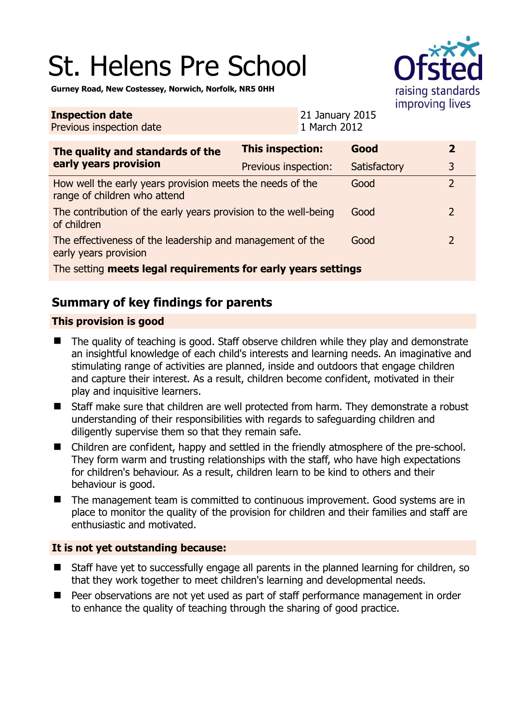# St. Helens Pre School



**Gurney Road, New Costessey, Norwich, Norfolk, NR5 0HH** 

| <b>Inspection date</b><br>Previous inspection date                                        |                         | 21 January 2015<br>1 March 2012 |              |                |
|-------------------------------------------------------------------------------------------|-------------------------|---------------------------------|--------------|----------------|
| The quality and standards of the<br>early years provision                                 | <b>This inspection:</b> |                                 | Good         | $\overline{2}$ |
|                                                                                           | Previous inspection:    |                                 | Satisfactory | 3              |
| How well the early years provision meets the needs of the<br>range of children who attend |                         |                                 | Good         | $\overline{2}$ |
| The contribution of the early years provision to the well-being<br>of children            |                         |                                 | Good         | $\overline{2}$ |
| The effectiveness of the leadership and management of the<br>early years provision        |                         |                                 | Good         | $\overline{2}$ |
| The setting meets legal requirements for early years settings                             |                         |                                 |              |                |

# **Summary of key findings for parents**

### **This provision is good**

- The quality of teaching is good. Staff observe children while they play and demonstrate an insightful knowledge of each child's interests and learning needs. An imaginative and stimulating range of activities are planned, inside and outdoors that engage children and capture their interest. As a result, children become confident, motivated in their play and inquisitive learners.
- Staff make sure that children are well protected from harm. They demonstrate a robust understanding of their responsibilities with regards to safeguarding children and diligently supervise them so that they remain safe.
- Children are confident, happy and settled in the friendly atmosphere of the pre-school. They form warm and trusting relationships with the staff, who have high expectations for children's behaviour. As a result, children learn to be kind to others and their behaviour is good.
- The management team is committed to continuous improvement. Good systems are in place to monitor the quality of the provision for children and their families and staff are enthusiastic and motivated.

#### **It is not yet outstanding because:**

- Staff have yet to successfully engage all parents in the planned learning for children, so that they work together to meet children's learning and developmental needs.
- Peer observations are not yet used as part of staff performance management in order to enhance the quality of teaching through the sharing of good practice.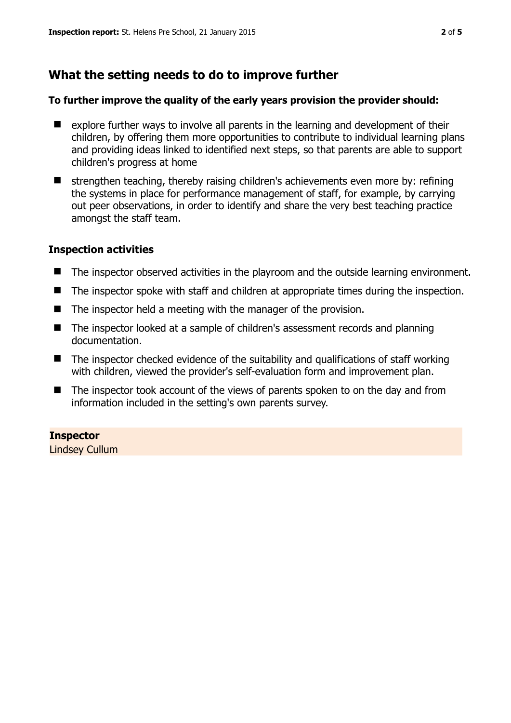## **What the setting needs to do to improve further**

#### **To further improve the quality of the early years provision the provider should:**

- **E** explore further ways to involve all parents in the learning and development of their children, by offering them more opportunities to contribute to individual learning plans and providing ideas linked to identified next steps, so that parents are able to support children's progress at home
- strengthen teaching, thereby raising children's achievements even more by: refining the systems in place for performance management of staff, for example, by carrying out peer observations, in order to identify and share the very best teaching practice amongst the staff team.

#### **Inspection activities**

- The inspector observed activities in the playroom and the outside learning environment.
- The inspector spoke with staff and children at appropriate times during the inspection.
- $\blacksquare$  The inspector held a meeting with the manager of the provision.
- The inspector looked at a sample of children's assessment records and planning documentation.
- $\blacksquare$  The inspector checked evidence of the suitability and qualifications of staff working with children, viewed the provider's self-evaluation form and improvement plan.
- The inspector took account of the views of parents spoken to on the day and from information included in the setting's own parents survey.

**Inspector**  Lindsey Cullum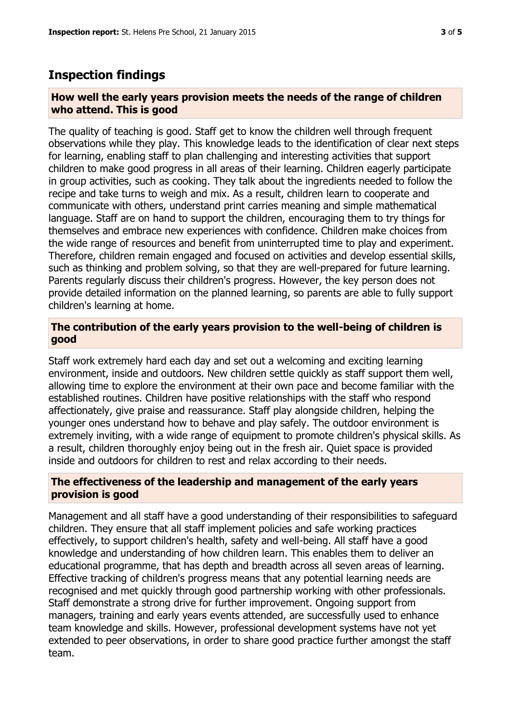## **Inspection findings**

#### **How well the early years provision meets the needs of the range of children who attend. This is good**

The quality of teaching is good. Staff get to know the children well through frequent observations while they play. This knowledge leads to the identification of clear next steps for learning, enabling staff to plan challenging and interesting activities that support children to make good progress in all areas of their learning. Children eagerly participate in group activities, such as cooking. They talk about the ingredients needed to follow the recipe and take turns to weigh and mix. As a result, children learn to cooperate and communicate with others, understand print carries meaning and simple mathematical language. Staff are on hand to support the children, encouraging them to try things for themselves and embrace new experiences with confidence. Children make choices from the wide range of resources and benefit from uninterrupted time to play and experiment. Therefore, children remain engaged and focused on activities and develop essential skills, such as thinking and problem solving, so that they are well-prepared for future learning. Parents regularly discuss their children's progress. However, the key person does not provide detailed information on the planned learning, so parents are able to fully support children's learning at home.

#### **The contribution of the early years provision to the well-being of children is good**

Staff work extremely hard each day and set out a welcoming and exciting learning environment, inside and outdoors. New children settle quickly as staff support them well, allowing time to explore the environment at their own pace and become familiar with the established routines. Children have positive relationships with the staff who respond affectionately, give praise and reassurance. Staff play alongside children, helping the younger ones understand how to behave and play safely. The outdoor environment is extremely inviting, with a wide range of equipment to promote children's physical skills. As a result, children thoroughly enjoy being out in the fresh air. Quiet space is provided inside and outdoors for children to rest and relax according to their needs.

#### **The effectiveness of the leadership and management of the early years provision is good**

Management and all staff have a good understanding of their responsibilities to safeguard children. They ensure that all staff implement policies and safe working practices effectively, to support children's health, safety and well-being. All staff have a good knowledge and understanding of how children learn. This enables them to deliver an educational programme, that has depth and breadth across all seven areas of learning. Effective tracking of children's progress means that any potential learning needs are recognised and met quickly through good partnership working with other professionals. Staff demonstrate a strong drive for further improvement. Ongoing support from managers, training and early years events attended, are successfully used to enhance team knowledge and skills. However, professional development systems have not yet extended to peer observations, in order to share good practice further amongst the staff team.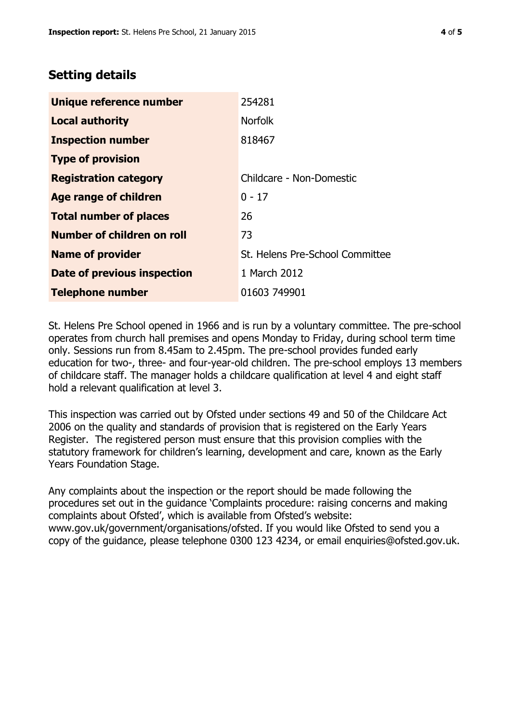## **Setting details**

| Unique reference number       | 254281                          |  |
|-------------------------------|---------------------------------|--|
| <b>Local authority</b>        | <b>Norfolk</b>                  |  |
| <b>Inspection number</b>      | 818467                          |  |
| <b>Type of provision</b>      |                                 |  |
| <b>Registration category</b>  | Childcare - Non-Domestic        |  |
| Age range of children         | $0 - 17$                        |  |
| <b>Total number of places</b> | 26                              |  |
| Number of children on roll    | 73                              |  |
| <b>Name of provider</b>       | St. Helens Pre-School Committee |  |
| Date of previous inspection   | 1 March 2012                    |  |
| <b>Telephone number</b>       | 01603 749901                    |  |

St. Helens Pre School opened in 1966 and is run by a voluntary committee. The pre-school operates from church hall premises and opens Monday to Friday, during school term time only. Sessions run from 8.45am to 2.45pm. The pre-school provides funded early education for two-, three- and four-year-old children. The pre-school employs 13 members of childcare staff. The manager holds a childcare qualification at level 4 and eight staff hold a relevant qualification at level 3.

This inspection was carried out by Ofsted under sections 49 and 50 of the Childcare Act 2006 on the quality and standards of provision that is registered on the Early Years Register. The registered person must ensure that this provision complies with the statutory framework for children's learning, development and care, known as the Early Years Foundation Stage.

Any complaints about the inspection or the report should be made following the procedures set out in the guidance 'Complaints procedure: raising concerns and making complaints about Ofsted', which is available from Ofsted's website: www.gov.uk/government/organisations/ofsted. If you would like Ofsted to send you a copy of the guidance, please telephone 0300 123 4234, or email enquiries@ofsted.gov.uk.